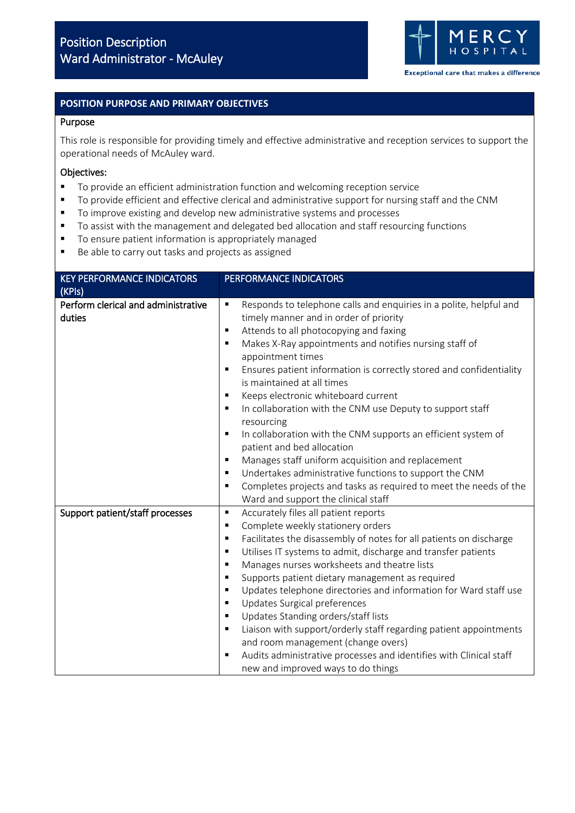

### **POSITION PURPOSE AND PRIMARY OBJECTIVES**

#### Purpose

This role is responsible for providing timely and effective administrative and reception services to support the operational needs of McAuley ward.

#### Objectives:

- To provide an efficient administration function and welcoming reception service
- To provide efficient and effective clerical and administrative support for nursing staff and the CNM
- To improve existing and develop new administrative systems and processes
- To assist with the management and delegated bed allocation and staff resourcing functions
- To ensure patient information is appropriately managed
- Be able to carry out tasks and projects as assigned

| <b>KEY PERFORMANCE INDICATORS</b>             | PERFORMANCE INDICATORS                                                                                                                                                                                                                                                                                                                                                                                                                                                                                                                                                                                                                                                                                                                                                                                                                                                             |  |
|-----------------------------------------------|------------------------------------------------------------------------------------------------------------------------------------------------------------------------------------------------------------------------------------------------------------------------------------------------------------------------------------------------------------------------------------------------------------------------------------------------------------------------------------------------------------------------------------------------------------------------------------------------------------------------------------------------------------------------------------------------------------------------------------------------------------------------------------------------------------------------------------------------------------------------------------|--|
| (KPIs)                                        |                                                                                                                                                                                                                                                                                                                                                                                                                                                                                                                                                                                                                                                                                                                                                                                                                                                                                    |  |
| Perform clerical and administrative<br>duties | Responds to telephone calls and enquiries in a polite, helpful and<br>٠<br>timely manner and in order of priority<br>Attends to all photocopying and faxing<br>٠<br>Makes X-Ray appointments and notifies nursing staff of<br>٠<br>appointment times<br>Ensures patient information is correctly stored and confidentiality<br>$\blacksquare$<br>is maintained at all times<br>Keeps electronic whiteboard current<br>In collaboration with the CNM use Deputy to support staff<br>$\blacksquare$<br>resourcing<br>In collaboration with the CNM supports an efficient system of<br>٠<br>patient and bed allocation<br>Manages staff uniform acquisition and replacement<br>Undertakes administrative functions to support the CNM<br>$\blacksquare$<br>Completes projects and tasks as required to meet the needs of the<br>$\blacksquare$<br>Ward and support the clinical staff |  |
| Support patient/staff processes               | Accurately files all patient reports<br>Ξ<br>Complete weekly stationery orders<br>$\blacksquare$<br>Facilitates the disassembly of notes for all patients on discharge<br>$\blacksquare$<br>Utilises IT systems to admit, discharge and transfer patients<br>$\blacksquare$<br>Manages nurses worksheets and theatre lists<br>$\blacksquare$<br>Supports patient dietary management as required<br>$\blacksquare$<br>Updates telephone directories and information for Ward staff use<br>$\blacksquare$<br>Updates Surgical preferences<br>٠<br>Updates Standing orders/staff lists<br>$\blacksquare$<br>Liaison with support/orderly staff regarding patient appointments<br>$\blacksquare$<br>and room management (change overs)<br>Audits administrative processes and identifies with Clinical staff<br>٠<br>new and improved ways to do things                                |  |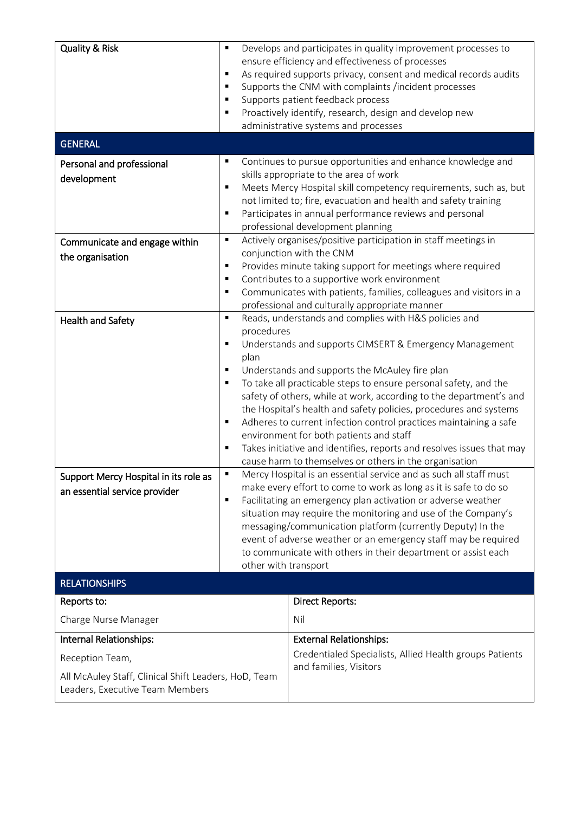| <b>Quality &amp; Risk</b><br><b>GENERAL</b>                                                                                           | $\blacksquare$<br>٠<br>$\blacksquare$<br>$\blacksquare$<br>$\blacksquare$<br>$\blacksquare$                                                                                                                                                                                                                                                                                                                                                                                                                                                                                                                                                                                                      | Develops and participates in quality improvement processes to<br>ensure efficiency and effectiveness of processes<br>As required supports privacy, consent and medical records audits<br>Supports the CNM with complaints /incident processes<br>Supports patient feedback process<br>Proactively identify, research, design and develop new<br>administrative systems and processes                                                                                                            |  |  |
|---------------------------------------------------------------------------------------------------------------------------------------|--------------------------------------------------------------------------------------------------------------------------------------------------------------------------------------------------------------------------------------------------------------------------------------------------------------------------------------------------------------------------------------------------------------------------------------------------------------------------------------------------------------------------------------------------------------------------------------------------------------------------------------------------------------------------------------------------|-------------------------------------------------------------------------------------------------------------------------------------------------------------------------------------------------------------------------------------------------------------------------------------------------------------------------------------------------------------------------------------------------------------------------------------------------------------------------------------------------|--|--|
| Personal and professional<br>development                                                                                              | ٠<br>٠                                                                                                                                                                                                                                                                                                                                                                                                                                                                                                                                                                                                                                                                                           | Continues to pursue opportunities and enhance knowledge and<br>skills appropriate to the area of work<br>Meets Mercy Hospital skill competency requirements, such as, but<br>not limited to; fire, evacuation and health and safety training<br>Participates in annual performance reviews and personal<br>professional development planning                                                                                                                                                    |  |  |
| Communicate and engage within<br>the organisation                                                                                     | Actively organises/positive participation in staff meetings in<br>٠<br>conjunction with the CNM<br>Provides minute taking support for meetings where required<br>٠<br>Contributes to a supportive work environment<br>$\blacksquare$<br>Communicates with patients, families, colleagues and visitors in a<br>٠<br>professional and culturally appropriate manner                                                                                                                                                                                                                                                                                                                                |                                                                                                                                                                                                                                                                                                                                                                                                                                                                                                 |  |  |
| <b>Health and Safety</b>                                                                                                              | Reads, understands and complies with H&S policies and<br>$\blacksquare$<br>procedures<br>Understands and supports CIMSERT & Emergency Management<br>٠<br>plan<br>Understands and supports the McAuley fire plan<br>٠<br>To take all practicable steps to ensure personal safety, and the<br>safety of others, while at work, according to the department's and<br>the Hospital's health and safety policies, procedures and systems<br>Adheres to current infection control practices maintaining a safe<br>٠<br>environment for both patients and staff<br>Takes initiative and identifies, reports and resolves issues that may<br>٠<br>cause harm to themselves or others in the organisation |                                                                                                                                                                                                                                                                                                                                                                                                                                                                                                 |  |  |
| Support Mercy Hospital in its role as<br>an essential service provider                                                                | ٠                                                                                                                                                                                                                                                                                                                                                                                                                                                                                                                                                                                                                                                                                                | Mercy Hospital is an essential service and as such all staff must<br>make every effort to come to work as long as it is safe to do so<br>Facilitating an emergency plan activation or adverse weather<br>situation may require the monitoring and use of the Company's<br>messaging/communication platform (currently Deputy) In the<br>event of adverse weather or an emergency staff may be required<br>to communicate with others in their department or assist each<br>other with transport |  |  |
| <b>RELATIONSHIPS</b>                                                                                                                  |                                                                                                                                                                                                                                                                                                                                                                                                                                                                                                                                                                                                                                                                                                  |                                                                                                                                                                                                                                                                                                                                                                                                                                                                                                 |  |  |
| Reports to:<br>Charge Nurse Manager                                                                                                   |                                                                                                                                                                                                                                                                                                                                                                                                                                                                                                                                                                                                                                                                                                  | <b>Direct Reports:</b><br>Nil                                                                                                                                                                                                                                                                                                                                                                                                                                                                   |  |  |
| Internal Relationships:<br>Reception Team,<br>All McAuley Staff, Clinical Shift Leaders, HoD, Team<br>Leaders, Executive Team Members |                                                                                                                                                                                                                                                                                                                                                                                                                                                                                                                                                                                                                                                                                                  | <b>External Relationships:</b><br>Credentialed Specialists, Allied Health groups Patients<br>and families, Visitors                                                                                                                                                                                                                                                                                                                                                                             |  |  |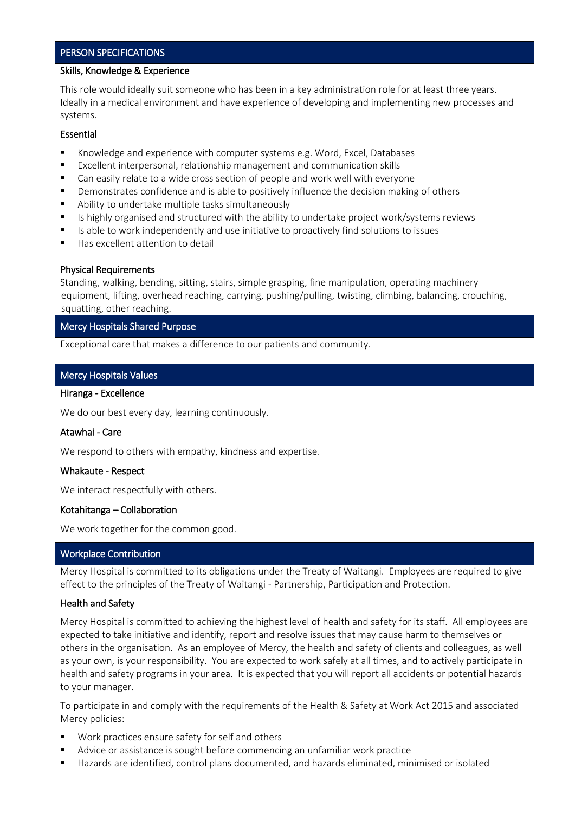# PERSON SPECIFICATIONS

### Skills, Knowledge & Experience

This role would ideally suit someone who has been in a key administration role for at least three years. Ideally in a medical environment and have experience of developing and implementing new processes and systems.

## Essential

- Knowledge and experience with computer systems e.g. Word, Excel, Databases
- Excellent interpersonal, relationship management and communication skills
- Can easily relate to a wide cross section of people and work well with everyone
- **•** Demonstrates confidence and is able to positively influence the decision making of others
- Ability to undertake multiple tasks simultaneously
- Is highly organised and structured with the ability to undertake project work/systems reviews
- Is able to work independently and use initiative to proactively find solutions to issues
- Has excellent attention to detail

### Physical Requirements

Standing, walking, bending, sitting, stairs, simple grasping, fine manipulation, operating machinery equipment, lifting, overhead reaching, carrying, pushing/pulling, twisting, climbing, balancing, crouching, squatting, other reaching.

## Mercy Hospitals Shared Purpose

Exceptional care that makes a difference to our patients and community.

## Mercy Hospitals Values

## Hiranga - Excellence

We do our best every day, learning continuously.

### Atawhai - Care

We respond to others with empathy, kindness and expertise.

# Whakaute - Respect

We interact respectfully with others.

# Kotahitanga – Collaboration

We work together for the common good.

# Workplace Contribution

Mercy Hospital is committed to its obligations under the Treaty of Waitangi. Employees are required to give effect to the principles of the Treaty of Waitangi - Partnership, Participation and Protection.

# Health and Safety

Mercy Hospital is committed to achieving the highest level of health and safety for its staff. All employees are expected to take initiative and identify, report and resolve issues that may cause harm to themselves or others in the organisation. As an employee of Mercy, the health and safety of clients and colleagues, as well as your own, is your responsibility. You are expected to work safely at all times, and to actively participate in health and safety programs in your area. It is expected that you will report all accidents or potential hazards to your manager.

To participate in and comply with the requirements of the Health & Safety at Work Act 2015 and associated Mercy policies:

- Work practices ensure safety for self and others
- Advice or assistance is sought before commencing an unfamiliar work practice
- Hazards are identified, control plans documented, and hazards eliminated, minimised or isolated